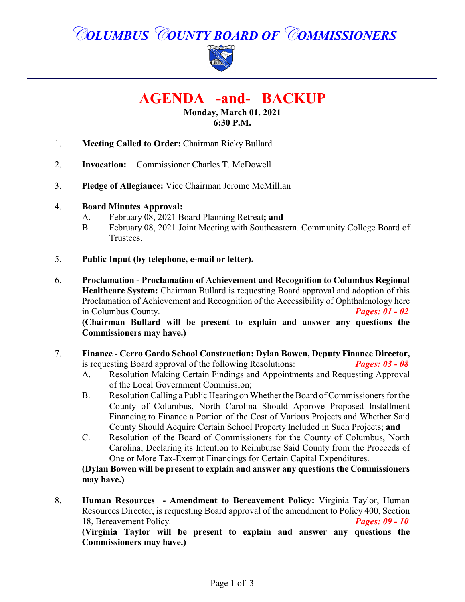# *COLUMBUS COUNTY BOARD OF COMMISSIONERS*



# **AGENDA -and- BACKUP**

#### **Monday, March 01, 2021 6:30 P.M.**

- 1. **Meeting Called to Order:** Chairman Ricky Bullard
- 2. **Invocation:** Commissioner Charles T. McDowell
- 3. **Pledge of Allegiance:** Vice Chairman Jerome McMillian

#### 4. **Board Minutes Approval:**

- A. February 08, 2021 Board Planning Retreat**; and**
- B. February 08, 2021 Joint Meeting with Southeastern. Community College Board of Trustees.
- 5. **Public Input (by telephone, e-mail or letter).**
- 6. **Proclamation Proclamation of Achievement and Recognition to Columbus Regional Healthcare System:** Chairman Bullard is requesting Board approval and adoption of this Proclamation of Achievement and Recognition of the Accessibility of Ophthalmology here in Columbus County. *Pages: 01 - 02* **(Chairman Bullard will be present to explain and answer any questions the Commissioners may have.)**
- 7. **Finance - Cerro Gordo School Construction: Dylan Bowen, Deputy Finance Director,** is requesting Board approval of the following Resolutions: *Pages: 03 - 08*
	- A. Resolution Making Certain Findings and Appointments and Requesting Approval of the Local Government Commission;
	- B. Resolution Calling a Public Hearing on Whether the Board of Commissioners for the County of Columbus, North Carolina Should Approve Proposed Installment Financing to Finance a Portion of the Cost of Various Projects and Whether Said County Should Acquire Certain School Property Included in Such Projects; **and**
	- C. Resolution of the Board of Commissioners for the County of Columbus, North Carolina, Declaring its Intention to Reimburse Said County from the Proceeds of One or More Tax-Exempt Financings for Certain Capital Expenditures.

**(Dylan Bowen will be present to explain and answer any questions the Commissioners may have.)**

8. **Human Resources - Amendment to Bereavement Policy:** Virginia Taylor, Human Resources Director, is requesting Board approval of the amendment to Policy 400, Section 18, Bereavement Policy. *Pages: 09 - 10*

**(Virginia Taylor will be present to explain and answer any questions the Commissioners may have.)**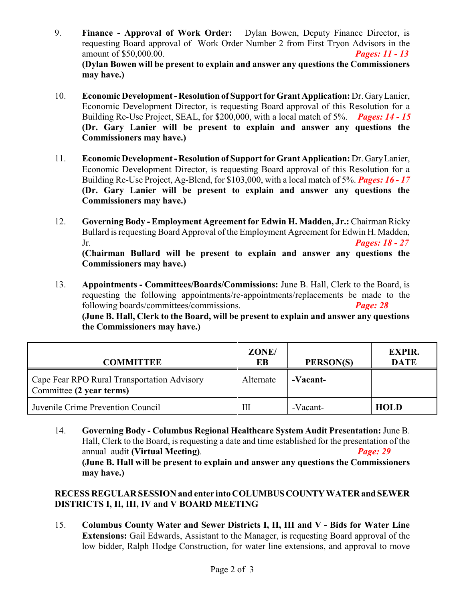- 9. **Finance Approval of Work Order:** Dylan Bowen, Deputy Finance Director, is requesting Board approval of Work Order Number 2 from First Tryon Advisors in the amount of \$50,000.00. *Pages: 11 - 13* **(Dylan Bowen will be present to explain and answer any questions the Commissioners may have.)**
- 10. **Economic Development Resolution of Support for Grant Application:** Dr. GaryLanier, Economic Development Director, is requesting Board approval of this Resolution for a Building Re-Use Project, SEAL, for \$200,000, with a local match of 5%. *Pages: 14 - 15* **(Dr. Gary Lanier will be present to explain and answer any questions the Commissioners may have.)**
- 11. **Economic Development Resolution of Support for Grant Application:** Dr. GaryLanier, Economic Development Director, is requesting Board approval of this Resolution for a Building Re-Use Project, Ag-Blend, for \$103,000, with a local match of 5%. *Pages: 16 - 17* **(Dr. Gary Lanier will be present to explain and answer any questions the Commissioners may have.)**
- 12. **Governing Body Employment Agreement for Edwin H. Madden, Jr.:** Chairman Ricky Bullard is requesting Board Approval of the Employment Agreement for Edwin H. Madden, Jr. *Pages: 18 - 27* **(Chairman Bullard will be present to explain and answer any questions the Commissioners may have.)**
- 13. **Appointments Committees/Boards/Commissions:** June B. Hall, Clerk to the Board, is requesting the following appointments/re-appointments/replacements be made to the following boards/committees/commissions. *Page: 28* **(June B. Hall, Clerk to the Board, will be present to explain and answer any questions the Commissioners may have.)**

| <b>COMMITTEE</b>                                                        | ZONE/<br>EB | PERSON(S) | <b>EXPIR.</b><br><b>DATE</b> |
|-------------------------------------------------------------------------|-------------|-----------|------------------------------|
| Cape Fear RPO Rural Transportation Advisory<br>Committee (2 year terms) | Alternate   | -Vacant-  |                              |
| Juvenile Crime Prevention Council                                       | Ш           | -Vacant-  | <b>HOLD</b>                  |

14. **Governing Body - Columbus Regional Healthcare System Audit Presentation:** June B. Hall, Clerk to the Board, is requesting a date and time established for the presentation of the annual audit **(Virtual Meeting)**. *Page: 29* **(June B. Hall will be present to explain and answer any questions the Commissioners may have.)**

**RECESS REGULAR SESSION and enter into COLUMBUSCOUNTYWATERand SEWER DISTRICTS I, II, III, IV and V BOARD MEETING**

15. **Columbus County Water and Sewer Districts I, II, III and V - Bids for Water Line Extensions:** Gail Edwards, Assistant to the Manager, is requesting Board approval of the low bidder, Ralph Hodge Construction, for water line extensions, and approval to move